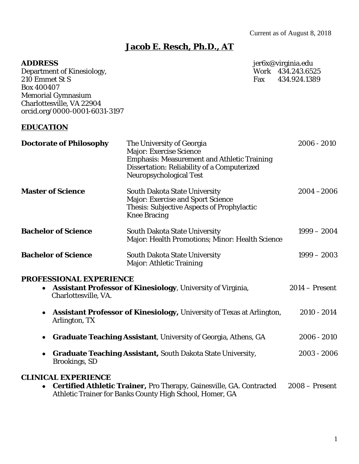# **Jacob E. Resch, Ph.D., AT**

| <b>ADDRESS</b>                    |                                                                                                                                                                                                                                    |     | jer6x@virginia.edu |
|-----------------------------------|------------------------------------------------------------------------------------------------------------------------------------------------------------------------------------------------------------------------------------|-----|--------------------|
| Department of Kinesiology,        |                                                                                                                                                                                                                                    |     | Work 434.243.6525  |
| 210 Emmet St S                    |                                                                                                                                                                                                                                    | Fax | 434.924.1389       |
| Box 400407                        |                                                                                                                                                                                                                                    |     |                    |
| <b>Memorial Gymnasium</b>         |                                                                                                                                                                                                                                    |     |                    |
| Charlottesville, VA 22904         |                                                                                                                                                                                                                                    |     |                    |
| orcid.org/0000-0001-6031-3197     |                                                                                                                                                                                                                                    |     |                    |
| <b>EDUCATION</b>                  |                                                                                                                                                                                                                                    |     |                    |
| <b>Doctorate of Philosophy</b>    | The University of Georgia<br><b>Major: Exercise Science</b><br><b>Emphasis: Measurement and Athletic Training</b><br><b>Dissertation: Reliability of a Computerized</b><br>Neuropsychological Test                                 |     | $2006 - 2010$      |
| <b>Master of Science</b>          | <b>South Dakota State University</b><br><b>Major: Exercise and Sport Science</b><br><b>Thesis: Subjective Aspects of Prophylactic</b><br><b>Knee Bracing</b>                                                                       |     | $2004 - 2006$      |
| <b>Bachelor of Science</b>        | <b>South Dakota State University</b><br>Major: Health Promotions; Minor: Health Science                                                                                                                                            |     | $1999 - 2004$      |
| <b>Bachelor of Science</b>        | <b>South Dakota State University</b><br>Major: Athletic Training                                                                                                                                                                   |     | $1999 - 2003$      |
| <b>PROFESSIONAL EXPERIENCE</b>    |                                                                                                                                                                                                                                    |     |                    |
| $\bullet$<br>Charlottesville, VA. | <b>Assistant Professor of Kinesiology, University of Virginia,</b>                                                                                                                                                                 |     | $2014 -$ Present   |
| ٠<br>Arlington, TX                | <b>Assistant Professor of Kinesiology, University of Texas at Arlington,</b>                                                                                                                                                       |     | 2010 - 2014        |
| ٠                                 | <b>Graduate Teaching Assistant</b> , University of Georgia, Athens, GA                                                                                                                                                             |     | $2006 - 2010$      |
| ٠<br><b>Brookings, SD</b>         | <b>Graduate Teaching Assistant, South Dakota State University,</b>                                                                                                                                                                 |     | 2003 - 2006        |
| <b>CLINICAL EXPERIENCE</b>        | $\mathcal{C}_{\text{out}}$ : $\mathcal{C}_{\text{out}}$ Athletic Trainers Dre Thereny $\mathcal{C}_{\text{c}}$ and $\mathcal{C}_{\text{out}}$ $\mathcal{C}_{\text{out}}$ $\mathcal{C}_{\text{out}}$ and $\mathcal{C}_{\text{out}}$ |     |                    |

**• Certified Athletic Trainer, Pro Therapy, Gainesville, GA. Contracted 2008 – Present** Athletic Trainer for Banks County High School, Homer, GA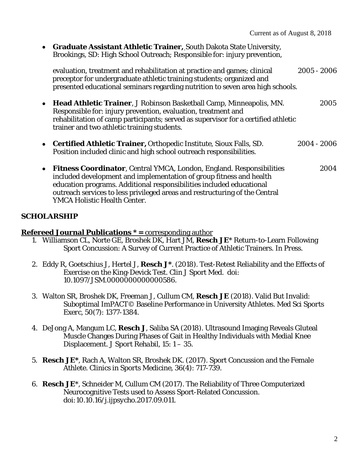• **Graduate Assistant Athletic Trainer,** South Dakota State University, Brookings, SD: High School Outreach; Responsible for: injury prevention,

evaluation, treatment and rehabilitation at practice and games; clinical 2005 - 2006 preceptor for undergraduate athletic training students; organized and presented educational seminars regarding nutrition to seven area high schools.

- **Head Athletic Trainer**, J Robinson Basketball Camp, Minneapolis, MN. 2005 Responsible for: injury prevention, evaluation, treatment and rehabilitation of camp participants; served as supervisor for a certified athletic trainer and two athletic training students.
- **Certified Athletic Trainer,** Orthopedic Institute, Sioux Falls, SD. 2004 2006 Position included clinic and high school outreach responsibilities.
- **Fitness Coordinator**, Central YMCA, London, England. Responsibilities 2004 included development and implementation of group fitness and health education programs. Additional responsibilities included educational outreach services to less privileged areas and restructuring of the Central YMCA Holistic Health Center.

# **SCHOLARSHIP**

#### **Refereed Journal Publications \* =** corresponding author

- 1. Williamson CL, Norte GE, Broshek DK, Hart JM, **Resch JE**\* Return-to-Learn Following Sport Concussion: A Survey of Current Practice of Athletic Trainers. *In Press.*
- 2. Eddy R, Goetschius J, Hertel J, **Resch J\***. (2018). Test-Retest Reliability and the Effects of Exercise on the King-Devick Test. Clin J Sport Med. doi: 10.1097/JSM.0000000000000586.
- 3. Walton SR, Broshek DK, Freeman J, Cullum CM, **Resch JE** (2018). Valid But Invalid: Suboptimal ImPACT© Baseline Performance in University Athletes. *Med Sci Sports Exerc,* 50(7): 1377-1384.
- 4. DeJong A, Mangum LC, **Resch J**, Saliba SA (2018). Ultrasound Imaging Reveals Gluteal Muscle Changes During Phases of Gait in Healthy Individuals with Medial Knee Displacement. *J Sport Rehabil, 15*: 1 – 35.
- 5. **Resch JE\***, Rach A, Walton SR, Broshek DK. (2017). Sport Concussion and the Female Athlete. *Clinics in Sports Medicine,* 36(4): 717-739.
- 6. **Resch JE**\*, Schneider M, Cullum CM (2017). The Reliability of Three Computerized Neurocognitive Tests used to Assess Sport-Related Concussion. *doi:10.10.16/j.ijpsycho.2017.09.011.*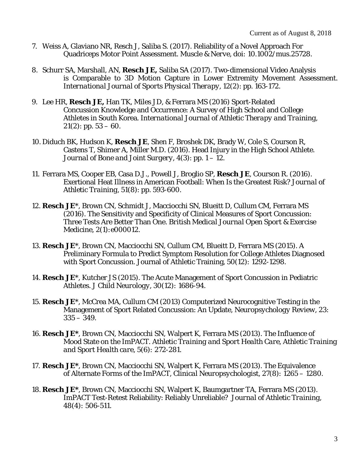- 7. Weiss A, Glaviano NR, Resch J, Saliba S. (2017). Reliability of a Novel Approach For Quadriceps Motor Point Assessment. *Muscle & Nerve, doi: 10.1002/mus.25728.*
- 8. Schurr SA, Marshall, AN, **Resch JE,** Saliba SA (2017). Two-dimensional Video Analysis is Comparable to 3D Motion Capture in Lower Extremity Movement Assessment. *International Journal of Sports Physical Therapy, 12(2)*: pp. 163-172.
- 9. Lee HR, **Resch JE,** Han TK, Miles JD, & Ferrara MS (2016) Sport-Related Concussion Knowledge and Occurrence: A Survey of High School and College Athletes in South Korea. *International Journal of Athletic Therapy and Training,*   $21(2)$ : pp. 53 – 60.
- 10. Diduch BK, Hudson K, **Resch JE**, Shen F, Broshek DK, Brady W, Cole S, Courson R, Castens T, Shimer A, Miller M.D. (2016). Head Injury in the High School Athlete. *Journal of Bone and Joint Surgery*, *4(*3*)*: pp. 1 – 12.
- 11. Ferrara MS, Cooper EB, Casa D.J., Powell J, Broglio SP, **Resch JE**, Courson R. (2016). Exertional Heat Illness in American Football: When Is the Greatest Risk? *Journal of Athletic Training*, *51(*8*)*: pp. 593-600.
- 12. **Resch JE**\*, Brown CN, Schmidt J, Macciocchi SN, Blueitt D, Cullum CM, Ferrara MS (2016). The Sensitivity and Specificity of Clinical Measures of Sport Concussion: Three Tests Are Better Than One. *British Medical Journal Open Sport & Exercise Medicine*, *2(*1*):*e000012.
- 13. **Resch JE**\*, Brown CN, Macciocchi SN, Cullum CM, Blueitt D, Ferrara MS (2015). A Preliminary Formula to Predict Symptom Resolution for College Athletes Diagnosed with Sport Concussion. Journal of Athletic Training, *50(*12*):* 1292-1298.
- 14. **Resch JE**\*, Kutcher JS (2015). The Acute Management of Sport Concussion in Pediatric Athletes. *J Child Neurology, 30(*12*):* 1686-94.
- 15. **Resch JE**\*, McCrea MA, Cullum CM (2013) Computerized Neurocognitive Testing in the Management of Sport Related Concussion: An Update, *Neuropsychology Review, 23:*   $335 - 349.$
- 16. **Resch JE\***, Brown CN, Macciocchi SN, Walpert K, Ferrara MS (2013). The Influence of Mood State on the ImPACT. *Athletic Training and Sport Health Care, Athletic Training and Sport Health care, 5(6):* 272-281.
- 17. **Resch JE\***, Brown CN, Macciocchi SN, Walpert K, Ferrara MS (2013). The Equivalence of Alternate Forms of the ImPACT, *Clinical Neuropsychologist, 27(8):* 1265 – 1280.
- 18. **Resch JE\***, Brown CN, Macciocchi SN, Walpert K, Baumgartner TA, Ferrara MS (2013). ImPACT Test-Retest Reliability: Reliably Unreliable? *Journal of Athletic Training, 48(4):* 506-511.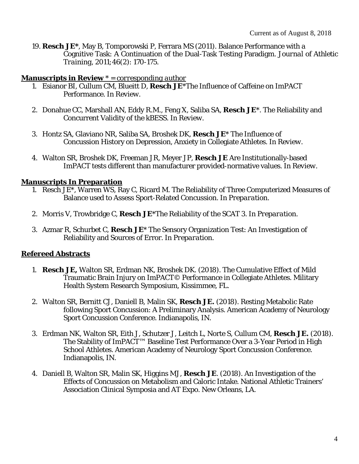19. **Resch JE\***, May B, Tomporowski P, Ferrara MS (2011). Balance Performance with a Cognitive Task: A Continuation of the Dual-Task Testing Paradigm. *Journal of Athletic Training, 2011;46(2)*: 170-175*.* 

#### **Manuscripts in Review** \* = *corresponding author*

- 1. Esianor BI, Cullum CM, Blueitt D, **Resch JE**\*The Influence of Caffeine on ImPACT Performance. *In Review.*
- 2. Donahue CC, Marshall AN, Eddy R.M., Feng X, Saliba SA, **Resch JE**\*. The Reliability and Concurrent Validity of the kBESS. *In Review.*
- 3. Hontz SA, Glaviano NR, Saliba SA, Broshek DK, **Resch JE**\* The Influence of Concussion History on Depression, Anxiety in Collegiate Athletes. *In Review.*
- 4. Walton SR, Broshek DK, Freeman JR, Meyer JP, **Resch JE** Are Institutionally-based ImPACT tests different than manufacturer provided-normative values. *In Review.*

## **Manuscripts In Preparation**

- 1. Resch JE\*, Warren WS, Ray C, Ricard M. The Reliability of Three Computerized Measures of Balance used to Assess Sport-Related Concussion. *In Preparation.*
- 2. Morris V, Trowbridge C, **Resch JE**\*The Reliability of the SCAT 3. *In Preparation.*
- 3. Azmar R, Schurbet C, **Resch JE**\* The Sensory Organization Test: An Investigation of Reliability and Sources of Error. *In Preparation*.

# **Refereed Abstracts**

- 1. **Resch JE,** Walton SR, Erdman NK, Broshek DK. (2018). The Cumulative Effect of Mild Traumatic Brain Injury on ImPACT© Performance in Collegiate Athletes. Military Health System Research Symposium, Kissimmee, FL.
- 2. Walton SR, Bernitt CJ, Daniell B, Malin SK, **Resch JE.** (2018). Resting Metabolic Rate following Sport Concussion: A Preliminary Analysis. American Academy of Neurology Sport Concussion Conference. Indianapolis, IN.
- 3. Erdman NK, Walton SR, Eith J, Schutzer J, Leitch L, Norte S, Cullum CM, **Resch JE.** (2018). The Stability of ImPACT™ Baseline Test Performance Over a 3-Year Period in High School Athletes. American Academy of Neurology Sport Concussion Conference. Indianapolis, IN.
- 4. Daniell B, Walton SR, Malin SK, Higgins MJ, **Resch JE**. (2018). An Investigation of the Effects of Concussion on Metabolism and Caloric Intake. National Athletic Trainers' Association Clinical Symposia and AT Expo. New Orleans, LA.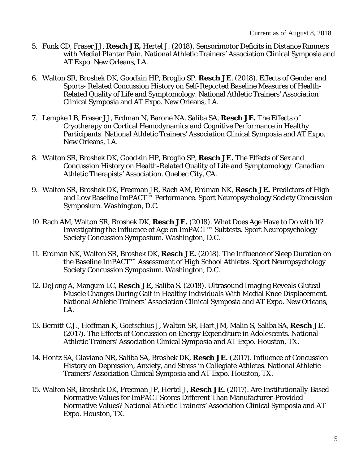- 5. Funk CD, Fraser JJ, **Resch JE,** Hertel J. (2018). Sensorimotor Deficits in Distance Runners with Medial Plantar Pain. National Athletic Trainers' Association Clinical Symposia and AT Expo. New Orleans, LA.
- 6. Walton SR, Broshek DK, Goodkin HP, Broglio SP, **Resch JE**. (2018). Effects of Gender and Sports- Related Concussion History on Self-Reported Baseline Measures of Health-Related Quality of Life and Symptomology. National Athletic Trainers' Association Clinical Symposia and AT Expo. New Orleans, LA.
- 7. Lempke LB, Fraser JJ, Erdman N, Barone NA, Saliba SA, **Resch JE.** The Effects of Cryotherapy on Cortical Hemodynamics and Cognitive Performance in Healthy Participants. National Athletic Trainers' Association Clinical Symposia and AT Expo. New Orleans, LA.
- 8. Walton SR, Broshek DK, Goodkin HP, Broglio SP, **Resch JE.** The Effects of Sex and Concussion History on Health-Related Quality of Life and Symptomology. Canadian Athletic Therapists' Association. Quebec City, CA.
- 9. Walton SR, Broshek DK, Freeman JR, Rach AM, Erdman NK, **Resch JE.** Predictors of High and Low Baseline ImPACT™ Performance. Sport Neuropsychology Society Concussion Symposium. Washington, D.C.
- 10. Rach AM, Walton SR, Broshek DK, **Resch JE.** (2018). What Does Age Have to Do with It? Investigating the Influence of Age on ImPACT™ Subtests. Sport Neuropsychology Society Concussion Symposium. Washington, D.C.
- 11. Erdman NK, Walton SR, Broshek DK, **Resch JE.** (2018). The Influence of Sleep Duration on the Baseline ImPACT™ Assessment of High School Athletes. Sport Neuropsychology Society Concussion Symposium. Washington, D.C.
- 12. DeJong A, Mangum LC, **Resch JE,** Saliba S. (2018). Ultrasound Imaging Reveals Gluteal Muscle Changes During Gait in Healthy Individuals With Medial Knee Displacement. National Athletic Trainers' Association Clinical Symposia and AT Expo. New Orleans, LA.
- 13. Bernitt C.J., Hoffman K, Goetschius J, Walton SR, Hart JM, Malin S, Saliba SA, **Resch JE**. (2017). The Effects of Concussion on Energy Expenditure in Adolescents. National Athletic Trainers' Association Clinical Symposia and AT Expo. Houston, TX.
- 14. Hontz SA, Glaviano NR, Saliba SA, Broshek DK, **Resch JE.** (2017). Influence of Concussion History on Depression, Anxiety, and Stress in Collegiate Athletes. National Athletic Trainers' Association Clinical Symposia and AT Expo. Houston, TX.
- 15. Walton SR, Broshek DK, Freeman JP, Hertel J, **Resch JE.** (2017). Are Institutionally-Based Normative Values for ImPACT Scores Different Than Manufacturer-Provided Normative Values? National Athletic Trainers' Association Clinical Symposia and AT Expo. Houston, TX.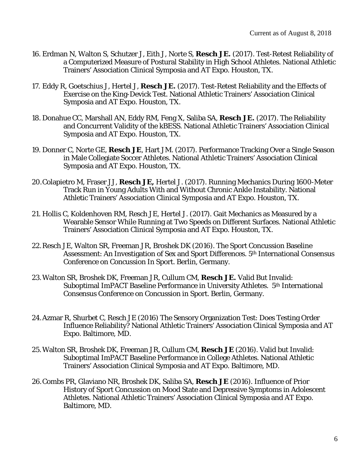- 16. Erdman N, Walton S, Schutzer J, Eith J, Norte S, **Resch JE.** (2017). Test-Retest Reliability of a Computerized Measure of Postural Stability in High School Athletes. National Athletic Trainers' Association Clinical Symposia and AT Expo. Houston, TX.
- 17. Eddy R, Goetschius J, Hertel J, **Resch JE.** (2017). Test-Retest Reliability and the Effects of Exercise on the King-Devick Test. National Athletic Trainers' Association Clinical Symposia and AT Expo. Houston, TX.
- 18. Donahue CC, Marshall AN, Eddy RM, Feng X, Saliba SA, **Resch JE.** (2017). The Reliability and Concurrent Validity of the kBESS. National Athletic Trainers' Association Clinical Symposia and AT Expo. Houston, TX.
- 19. Donner C, Norte GE, **Resch JE**, Hart JM. (2017). Performance Tracking Over a Single Season in Male Collegiate Soccer Athletes. National Athletic Trainers' Association Clinical Symposia and AT Expo. Houston, TX.
- 20.Colapietro M, Fraser JJ, **Resch JE,** Hertel J. (2017). Running Mechanics During 1600-Meter Track Run in Young Adults With and Without Chronic Ankle Instability. National Athletic Trainers' Association Clinical Symposia and AT Expo. Houston, TX.
- 21. Hollis C, Koldenhoven RM, Resch JE, Hertel J. (2017). Gait Mechanics as Measured by a Wearable Sensor While Running at Two Speeds on Different Surfaces. National Athletic Trainers' Association Clinical Symposia and AT Expo. Houston, TX.
- 22.Resch JE, Walton SR, Freeman JR, Broshek DK (2016). The Sport Concussion Baseline Assessment: An Investigation of Sex and Sport Differences. 5th International Consensus Conference on Concussion In Sport. Berlin, Germany.
- 23.Walton SR, Broshek DK, Freeman JR, Cullum CM, **Resch JE.** Valid But Invalid: Suboptimal ImPACT Baseline Performance in University Athletes. 5<sup>th</sup> International Consensus Conference on Concussion in Sport. Berlin, Germany.
- 24.Azmar R, Shurbet C, Resch JE (2016) The Sensory Organization Test: Does Testing Order Influence Reliability? National Athletic Trainers' Association Clinical Symposia and AT Expo. Baltimore, MD.
- 25.Walton SR, Broshek DK, Freeman JR, Cullum CM, **Resch JE** (2016). Valid but Invalid: Suboptimal ImPACT Baseline Performance in College Athletes. National Athletic Trainers' Association Clinical Symposia and AT Expo. Baltimore, MD*.*
- 26.Combs PR, Glaviano NR, Broshek DK, Saliba SA, **Resch JE** (2016). Influence of Prior History of Sport Concussion on Mood State and Depressive Symptoms in Adolescent Athletes. National Athletic Trainers' Association Clinical Symposia and AT Expo. Baltimore, MD.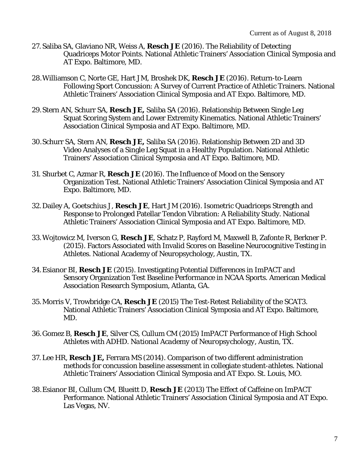- 27. Saliba SA, Glaviano NR, Weiss A, **Resch JE** (2016). The Reliability of Detecting Quadriceps Motor Points. National Athletic Trainers' Association Clinical Symposia and AT Expo. Baltimore, MD.
- 28.Williamson C, Norte GE, Hart JM, Broshek DK, **Resch JE** (2016). Return-to-Learn Following Sport Concussion: A Survey of Current Practice of Athletic Trainers. National Athletic Trainers' Association Clinical Symposia and AT Expo. Baltimore, MD.
- 29.Stern AN, Schurr SA, **Resch JE,** Saliba SA (2016). Relationship Between Single Leg Squat Scoring System and Lower Extremity Kinematics. National Athletic Trainers' Association Clinical Symposia and AT Expo. Baltimore, MD.
- 30.Schurr SA, Stern AN, **Resch JE,** Saliba SA (2016). Relationship Between 2D and 3D Video Analyses of a Single Leg Squat in a Healthy Population. National Athletic Trainers' Association Clinical Symposia and AT Expo. Baltimore, MD.
- 31. Shurbet C, Azmar R, **Resch JE** (2016). The Influence of Mood on the Sensory Organization Test. National Athletic Trainers' Association Clinical Symposia and AT Expo. Baltimore, MD.
- 32.Dailey A, Goetschius J, **Resch JE**, Hart JM (2016). Isometric Quadriceps Strength and Response to Prolonged Patellar Tendon Vibration: A Reliability Study. National Athletic Trainers' Association Clinical Symposia and AT Expo. Baltimore, MD.
- 33.Wojtowicz M, Iverson G, **Resch JE**, Schatz P, Rayford M, Maxwell B, Zafonte R, Berkner P. (2015). Factors Associated with Invalid Scores on Baseline Neurocognitive Testing in Athletes. National Academy of Neuropsychology, Austin, TX.
- 34.Esianor BI, **Resch JE** (2015). Investigating Potential Differences in ImPACT and Sensory Organization Test Baseline Performance in NCAA Sports. American Medical Association Research Symposium, Atlanta, GA.
- 35.Morris V, Trowbridge CA, **Resch JE** (2015) The Test-Retest Reliability of the SCAT3. National Athletic Trainers' Association Clinical Symposia and AT Expo. Baltimore, MD.
- 36.Gomez B, **Resch JE**, Silver CS, Cullum CM (2015) ImPACT Performance of High School Athletes with ADHD. *National Academy of Neuropsychology, Austin, TX*.
- 37. Lee HR, **Resch JE,** Ferrara MS (2014). Comparison of two different administration methods for concussion baseline assessment in collegiate student-athletes. National Athletic Trainers' Association Clinical Symposia and AT Expo. St. Louis, MO.
- 38.Esianor BI, Cullum CM, Blueitt D, **Resch JE** (2013) The Effect of Caffeine on ImPACT Performance. National Athletic Trainers' Association Clinical Symposia and AT Expo. Las Vegas, NV.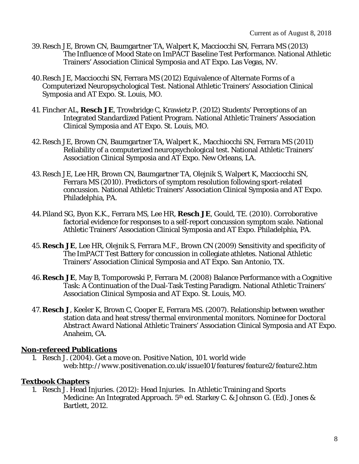- 39.Resch JE, Brown CN, Baumgartner TA, Walpert K, Macciocchi SN, Ferrara MS (2013) The Influence of Mood State on ImPACT Baseline Test Performance. National Athletic Trainers' Association Clinical Symposia and AT Expo. Las Vegas, NV.
- 40.Resch JE, Macciocchi SN, Ferrara MS (2012) Equivalence of Alternate Forms of a Computerized Neuropsychological Test. National Athletic Trainers' Association Clinical Symposia and AT Expo. St. Louis, MO.
- 41. Fincher AL, **Resch JE**, Trowbridge C, Krawietz P. (2012) Students' Perceptions of an Integrated Standardized Patient Program. National Athletic Trainers' Association Clinical Symposia and AT Expo. St. Louis, MO.
- 42.Resch JE, Brown CN, Baumgartner TA, Walpert K., Macchiocchi SN, Ferrara MS (2011) Reliability of a computerized neuropsychological test. National Athletic Trainers' Association Clinical Symposia and AT Expo. New Orleans, LA.
- 43.Resch JE, Lee HR, Brown CN, Baumgartner TA, Olejnik S, Walpert K, Macciocchi SN, Ferrara MS (2010). Predictors of symptom resolution following sport-related concussion. National Athletic Trainers' Association Clinical Symposia and AT Expo. Philadelphia, PA.
- 44.Piland SG, Byon K.K., Ferrara MS, Lee HR, **Resch JE**, Gould, TE. (2010). Corroborative factorial evidence for responses to a self-report concussion symptom scale. National Athletic Trainers' Association Clinical Symposia and AT Expo. Philadelphia, PA.
- 45.**Resch JE**, Lee HR, Olejnik S, Ferrara M.F., Brown CN (2009) Sensitivity and specificity of The ImPACT Test Battery for concussion in collegiate athletes. National Athletic Trainers' Association Clinical Symposia and AT Expo. San Antonio, TX.
- 46.**Resch JE**, May B, Tomporowski P, Ferrara M. (2008) Balance Performance with a Cognitive Task: A Continuation of the Dual-Task Testing Paradigm. National Athletic Trainers' Association Clinical Symposia and AT Expo. St. Louis, MO.
- 47. **Resch J**, Keeler K, Brown C, Cooper E, Ferrara MS. (2007). Relationship between weather station data and heat stress/thermal environmental monitors. *Nominee for Doctoral Abstract Award* National Athletic Trainers' Association Clinical Symposia and AT Expo. Anaheim, CA.

# **Non-refereed Publications**

1. Resch J. (2004). Get a move on. *Positive Nation, 101. world wide web:http://www.positivenation.co.uk/issue101/features/feature2/feature2.htm*

# **Textbook Chapters**

1. Resch J. Head Injuries. (2012): Head Injuries. In Athletic Training and Sports Medicine: An Integrated Approach. 5th ed. Starkey C. & Johnson G. (Ed). Jones & Bartlett, 2012.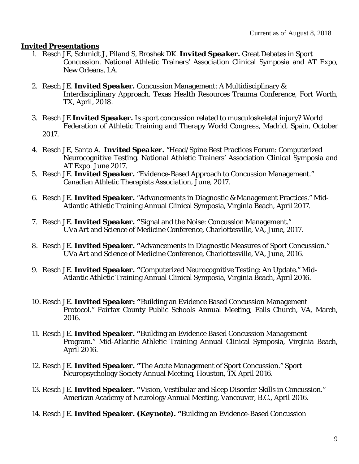## **Invited Presentations**

- 1. Resch JE, Schmidt J, Piland S, Broshek DK. *Invited Speaker.* Great Debates in Sport Concussion. National Athletic Trainers' Association Clinical Symposia and AT Expo, New Orleans, LA.
- 2. Resch JE. *Invited Speaker.* Concussion Management: A Multidisciplinary & Interdisciplinary Approach. Texas Health Resources Trauma Conference, Fort Worth, TX, April, 2018.
- 3. Resch JE *Invited Speaker.* Is sport concussion related to musculoskeletal injury? World Federation of Athletic Training and Therapy World Congress, Madrid, Spain, October 2017.
- 4. Resch JE, Santo A. *Invited Speaker.* "Head/Spine Best Practices Forum: Computerized Neurocognitive Testing. National Athletic Trainers' Association Clinical Symposia and AT Expo. June 2017.
- 5. Resch JE. *Invited Speaker.* "Evidence-Based Approach to Concussion Management." Canadian Athletic Therapists Association, June, 2017.
- 6. Resch JE. *Invited Speaker.* "Advancements in Diagnostic & Management Practices." Mid-Atlantic Athletic Training Annual Clinical Symposia, Virginia Beach, April 2017.
- 7. Resch JE. *Invited Speaker. "*Signal and the Noise: Concussion Management." UVa Art and Science of Medicine Conference, Charlottesville, VA, June, 2017.
- 8. Resch JE. *Invited Speaker. "*Advancements in Diagnostic Measures of Sport Concussion." UVa Art and Science of Medicine Conference, Charlottesville, VA, June, 2016.
- 9. Resch JE. *Invited Speaker. "*Computerized Neurocognitive Testing: An Update." Mid-Atlantic Athletic Training Annual Clinical Symposia, Virginia Beach, April 2016.
- 10. Resch JE. *Invited Speaker: "*Building an Evidence Based Concussion Management Protocol." Fairfax County Public Schools Annual Meeting, Falls Church, VA, March, 2016.
- 11. Resch JE. *Invited Speaker. "*Building an Evidence Based Concussion Management Program." Mid-Atlantic Athletic Training Annual Clinical Symposia, Virginia Beach, April 2016.
- 12. Resch JE. *Invited Speaker. "*The Acute Management of Sport Concussion." Sport Neuropsychology Society Annual Meeting, Houston, TX April 2016.
- 13. Resch JE. *Invited Speaker. "*Vision, Vestibular and Sleep Disorder Skills in Concussion." American Academy of Neurology Annual Meeting, Vancouver, B.C., April 2016.
- 14. Resch JE. *Invited Speaker. (Keynote). "*Building an Evidence-Based Concussion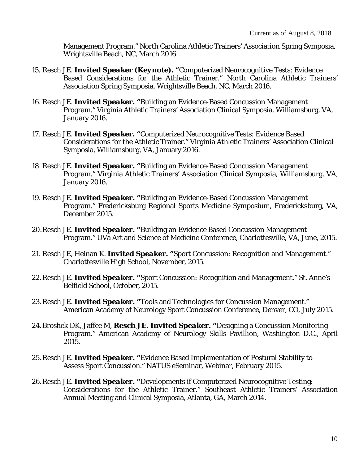Management Program." North Carolina Athletic Trainers' Association Spring Symposia, Wrightsville Beach, NC, March 2016.

- 15. Resch JE. *Invited Speaker (Keynote). "*Computerized Neurocognitive Tests: Evidence Based Considerations for the Athletic Trainer." North Carolina Athletic Trainers' Association Spring Symposia, Wrightsville Beach, NC, March 2016.
- 16. Resch JE. *Invited Speaker***. "**Building an Evidence-Based Concussion Management Program." Virginia Athletic Trainers' Association Clinical Symposia, Williamsburg, VA, January 2016.
- 17. Resch JE. *Invited Speaker***. "**Computerized Neurocognitive Tests: Evidence Based Considerations for the Athletic Trainer." Virginia Athletic Trainers' Association Clinical Symposia, Williamsburg, VA, January 2016.
- 18. Resch JE. *Invited Speaker***. "**Building an Evidence-Based Concussion Management Program." Virginia Athletic Trainers' Association Clinical Symposia, Williamsburg, VA, January 2016.
- 19. Resch JE. *Invited Speaker***. "**Building an Evidence-Based Concussion Management Program." Fredericksburg Regional Sports Medicine Symposium, Fredericksburg, VA, December 2015.
- 20.Resch JE. *Invited Speaker. "*Building an Evidence Based Concussion Management Program." UVa Art and Science of Medicine Conference, Charlottesville, VA, June, 2015.
- 21. Resch JE, Heinan K. *Invited Speaker. "*Sport Concussion: Recognition and Management." Charlottesville High School, November, 2015.
- 22.Resch JE. *Invited Speaker. "*Sport Concussion: Recognition and Management." St. Anne's Belfield School, October, 2015.
- 23.Resch JE. *Invited Speaker***. "**Tools and Technologies for Concussion Management." American Academy of Neurology Sport Concussion Conference, Denver, CO, July 2015.
- 24.Broshek DK, Jaffee M, **Resch JE.** *Invited Speaker.* **"**Designing a Concussion Monitoring Program." American Academy of Neurology Skills Pavillion, Washington D.C., April 2015.
- 25.Resch JE. *Invited Speaker.* **"**Evidence Based Implementation of Postural Stability to Assess Sport Concussion." NATUS eSeminar, Webinar, February 2015.
- 26.Resch JE. *Invited Speaker***. "**Developments if Computerized Neurocognitive Testing: Considerations for the Athletic Trainer." Southeast Athletic Trainers' Association Annual Meeting and Clinical Symposia, Atlanta, GA, March 2014.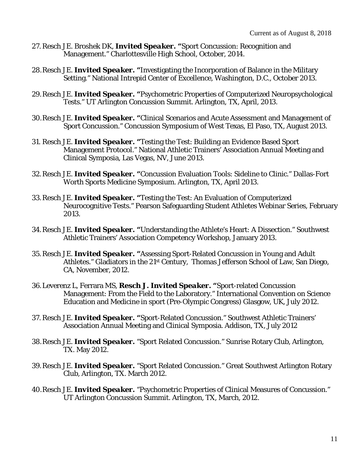- 27. Resch JE. Broshek DK, *Invited Speaker. "*Sport Concussion: Recognition and Management." Charlottesville High School, October, 2014.
- 28.Resch JE. *Invited Speaker***. "**Investigating the Incorporation of Balance in the Military Setting." National Intrepid Center of Excellence, Washington, D.C., October 2013.
- 29.Resch JE. *Invited Speaker. "*Psychometric Properties of Computerized Neuropsychological Tests." UT Arlington Concussion Summit. Arlington, TX, April, 2013.
- 30.Resch JE. *Invited Speaker.* **"**Clinical Scenarios and Acute Assessment and Management of Sport Concussion." Concussion Symposium of West Texas, El Paso, TX, August 2013.
- 31. Resch JE. *Invited Speaker***. "**Testing the Test: Building an Evidence Based Sport Management Protocol." National Athletic Trainers' Association Annual Meeting and Clinical Symposia, Las Vegas, NV, June 2013.
- 32.Resch JE. *Invited Speaker. "*Concussion Evaluation Tools: Sideline to Clinic." Dallas-Fort Worth Sports Medicine Symposium. Arlington, TX, April 2013.
- 33.Resch JE. *Invited Speaker. "*Testing the Test: An Evaluation of Computerized Neurocognitive Tests." Pearson Safeguarding Student Athletes Webinar Series, February 2013.
- 34.Resch JE. *Invited Speaker. "*Understanding the Athlete's Heart: A Dissection." Southwest Athletic Trainers' Association Competency Workshop, January 2013.
- 35. Resch JE. *Invited Speaker. "*Assessing Sport-Related Concussion in Young and Adult Athletes." Gladiators in the 21st Century, Thomas Jefferson School of Law, San Diego, CA, November, 2012.
- 36.Leverenz L, Ferrara MS, **Resch J.** *Invited Speaker***. "**Sport-related Concussion Management: From the Field to the Laboratory." International Convention on Science Education and Medicine in sport (Pre-Olympic Congress) Glasgow, UK, July 2012.
- 37. Resch JE. *Invited Speaker***. "**Sport-Related Concussion." Southwest Athletic Trainers' Association Annual Meeting and Clinical Symposia. Addison, TX, July 2012
- 38.Resch JE. *Invited Speaker.* "Sport Related Concussion." Sunrise Rotary Club, Arlington, TX. May 2012.
- 39.Resch JE. *Invited Speaker.* "Sport Related Concussion." Great Southwest Arlington Rotary Club, Arlington, TX. March 2012.
- 40.Resch JE. *Invited Speaker.* "Psychometric Properties of Clinical Measures of Concussion." UT Arlington Concussion Summit. Arlington, TX, March, 2012.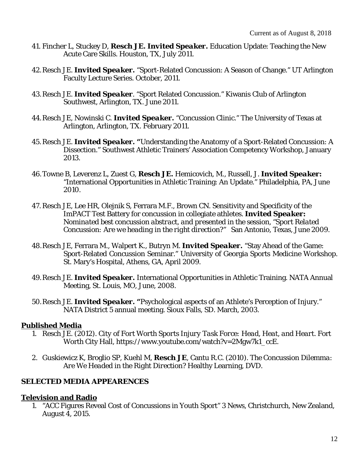- 41. Fincher L, Stuckey D, **Resch JE.** *Invited Speaker***.** Education Update: Teaching the New Acute Care Skills. Houston, TX, July 2011.
- 42.Resch JE. *Invited Speaker.* "Sport-Related Concussion: A Season of Change." UT Arlington Faculty Lecture Series. October, 2011.
- 43.Resch JE. *Invited Speaker*. "Sport Related Concussion." Kiwanis Club of Arlington Southwest, Arlington, TX. June 2011.
- 44.Resch JE, Nowinski C. *Invited Speaker.* "Concussion Clinic." The University of Texas at Arlington, Arlington, TX. February 2011.
- 45.Resch JE. *Invited Speaker. "*Understanding the Anatomy of a Sport-Related Concussion: A Dissection." Southwest Athletic Trainers' Association Competency Workshop, January 2013.
- 46.Towne B, Leverenz L, Zuest G, **Resch JE.** Hemicovich, M., Russell, J. *Invited Speaker***:**  "International Opportunities in Athletic Training: An Update." Philadelphia, PA, June 2010.
- 47. Resch JE, Lee HR, Olejnik S, Ferrara M.F., Brown CN. Sensitivity and Specificity of the ImPACT Test Battery for concussion in collegiate athletes. *Invited Speaker: Nominated best concussion abstract, and presented in the session, "Sport Related Concussion: Are we heading in the right direction?"* San Antonio, Texas, June 2009.
- 48.Resch JE, Ferrara M., Walpert K., Butryn M. *Invited Speaker.* "Stay Ahead of the Game: Sport-Related Concussion Seminar." University of Georgia Sports Medicine Workshop. St. Mary's Hospital, Athens, GA, April 2009.
- 49.Resch JE. *Invited Speaker***.** International Opportunities in Athletic Training. NATA Annual Meeting, St. Louis, MO, June, 2008.
- 50.Resch JE. *Invited Speaker. "*Psychological aspects of an Athlete's Perception of Injury.*"* NATA District 5 annual meeting. Sioux Falls, SD. March, 2003.

#### **Published Media**

- 1. Resch JE. (2012). *City of Fort Worth Sports Injury Task Force: Head, Heat, and Heart*. Fort Worth City Hall, https://www.youtube.com/watch?v=2Mgw7k1\_ccE.
- 2. Guskiewicz K, Broglio SP, Kuehl M, **Resch JE**, Cantu R.C. (2010). *The Concussion Dilemma: Are We Headed in the Right Direction?* Healthy Learning, DVD.

# **SELECTED MEDIA APPEARENCES**

#### **Television and Radio**

1. "ACC Figures Reveal Cost of Concussions in Youth Sport" 3 News, Christchurch, New Zealand, August 4, 2015.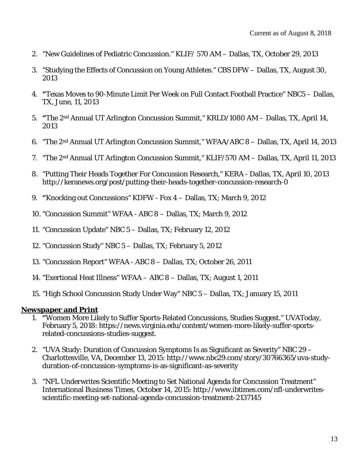- 2. "New Guidelines of Pediatric Concussion." KLIF/ 570 AM Dallas, TX, October 29, 2013
- 3. "Studying the Effects of Concussion on Young Athletes." CBS DFW Dallas, TX, August 30, 2013
- 4. **"**Texas Moves to 90-Minute Limit Per Week on Full Contact Football Practice" NBC5 Dallas, TX, June, 11, 2013
- 5. **"**The 2nd Annual UT Arlington Concussion Summit," KRLD/1080 AM Dallas, TX, April 14, 2013
- 6. "The 2nd Annual UT Arlington Concussion Summit," WFAA/ABC 8 Dallas, TX, April 14, 2013
- 7. "The 2nd Annual UT Arlington Concussion Summit," KLIF/570 AM Dallas, TX, April 11, 2013
- 8. "Putting Their Heads Together For Concussion Research," KERA Dallas, TX, April 10, 2013 http://keranews.org/post/putting-their-heads-together-concussion-research-0
- 9. **"**Knocking out Concussions" KDFW Fox 4 Dallas, TX; March 9, 2012
- 10. "Concussion Summit" WFAA ABC 8 Dallas, TX; March 9, 2012
- 11. "Concussion Update" NBC 5 Dallas, TX; February 12, 2012
- 12. "Concussion Study" NBC 5 Dallas, TX; February 5, 2012
- 13. "Concussion Report" WFAA ABC 8 Dallas, TX; October 26, 2011
- 14. "Exertional Heat Illness" WFAA ABC 8 Dallas, TX; August 1, 2011
- 15. "High School Concussion Study Under Way" NBC 5 Dallas, TX; January 15, 2011

#### **Newspaper and Print**

- 1. **"**Women More Likely to Suffer Sports-Related Concussions, Studies Suggest." UVAToday, February 5, 2018: https://news.virginia.edu/content/women-more-likely-suffer-sportsrelated-concussions-studies-suggest.
- 2. "UVA Study: Duration of Concussion Symptoms Is as Significant as Severity" NBC 29 Charlottesville, VA, December 13, 2015: http://www.nbc29.com/story/30766365/uva-studyduration-of-concussion-symptoms-is-as-significant-as-severity
- 3. "NFL Underwrites Scientific Meeting to Set National Agenda for Concussion Treatment" International Business Times, October 14, 2015: http://www.ibtimes.com/nfl-underwritesscientific-meeting-set-national-agenda-concussion-treatment-2137145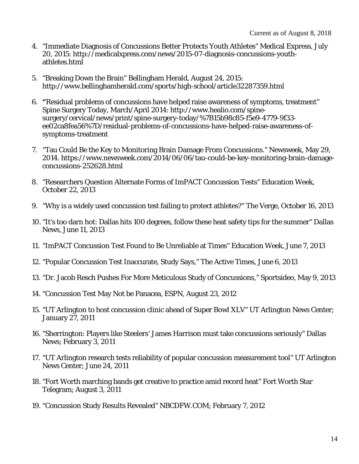- 4. "Immediate Diagnosis of Concussions Better Protects Youth Athletes" Medical Express, July 20, 2015: http://medicalxpress.com/news/2015-07-diagnosis-concussions-youthathletes.html
- 5. "Breaking Down the Brain" Bellingham Herald, August 24, 2015: http://www.bellinghamherald.com/sports/high-school/article32287359.html
- 6. **"**Residual problems of concussions have helped raise awareness of symptoms, treatment" Spine Surgery Today, March/April 2014: http://www.healio.com/spinesurgery/cervical/news/print/spine-surgery-today/%7B15b98c85-f5e9-4779-9f33 ee02ca8fea56%7D/residual-problems-of-concussions-have-helped-raise-awareness-ofsymptoms-treatment
- 7. "Tau Could Be the Key to Monitoring Brain Damage From Concussions." Newsweek, May 29, 2014. https://www.newsweek.com/2014/06/06/tau-could-be-key-monitoring-brain-damageconcussions-252628.html
- 8. "Researchers Question Alternate Forms of ImPACT Concussion Tests" Education Week, October 22, 2013
- 9. "Why is a widely used concussion test failing to protect athletes?" The Verge, October 16, 2013
- 10. "It's too darn hot: Dallas hits 100 degrees, follow these heat safety tips for the summer" Dallas News, June 11, 2013
- 11. "ImPACT Concussion Test Found to Be Unreliable at Times" Education Week, June 7, 2013
- 12. "Popular Concussion Test Inaccurate, Study Says," The Active Times, June 6, 2013
- 13. "Dr. Jacob Resch Pushes For More Meticulous Study of Concussions," Sportsideo, May 9, 2013
- 14. "Concussion Test May Not be Panacea, ESPN, August 23, 2012
- 15. "UT Arlington to host concussion clinic ahead of Super Bowl XLV" UT Arlington News Center; January 27, 2011
- 16. "Sherrington: Players like Steelers' James Harrison must take concussions seriously" Dallas News; February 3, 2011
- 17. "UT Arlington research tests reliability of popular concussion measurement tool" UT Arlington News Center; June 24, 2011
- 18. "Fort Worth marching bands get creative to practice amid record heat" Fort Worth Star Telegram; August 3, 2011
- 19. "Concussion Study Results Revealed" NBCDFW.COM; February 7, 2012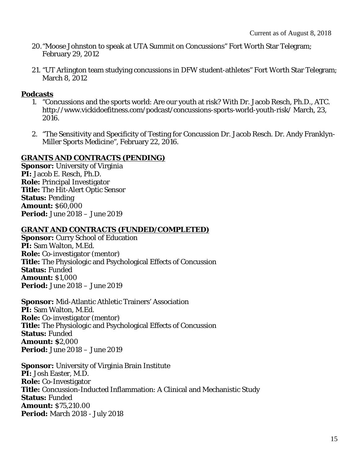- 20."Moose Johnston to speak at UTA Summit on Concussions" Fort Worth Star Telegram; February 29, 2012
- 21. "UT Arlington team studying concussions in DFW student-athletes" Fort Worth Star Telegram; March 8, 2012

#### **Podcasts**

- 1. "Concussions and the sports world: Are our youth at risk? With Dr. Jacob Resch, Ph.D., ATC. http://www.vickidoefitness.com/podcast/concussions-sports-world-youth-risk/ March, 23, 2016.
- 2. "The Sensitivity and Specificity of Testing for Concussion Dr. Jacob Resch. Dr. Andy Franklyn-Miller Sports Medicine", February 22, 2016.

## **GRANTS AND CONTRACTS (PENDING)**

**Sponsor:** University of Virginia **PI:** Jacob E. Resch, Ph.D. **Role:** Principal Investigator **Title:** The Hit-Alert Optic Sensor **Status:** Pending **Amount:** \$60,000 **Period:** June 2018 – June 2019

## **GRANT AND CONTRACTS (FUNDED/COMPLETED)**

**Sponsor: Curry School of Education PI:** Sam Walton, M.Ed. **Role:** Co-investigator (mentor) **Title:** The Physiologic and Psychological Effects of Concussion **Status:** Funded **Amount:** \$1,000 **Period:** June 2018 – June 2019

**Sponsor:** Mid-Atlantic Athletic Trainers' Association **PI:** Sam Walton, M.Ed. **Role:** Co-investigator (mentor) **Title:** The Physiologic and Psychological Effects of Concussion **Status:** Funded **Amount: \$**2,000 **Period:** June 2018 – June 2019

**Sponsor:** University of Virginia Brain Institute **PI:** Josh Easter, M.D. **Role:** Co-Investigator **Title:** Concussion-Inducted Inflammation: A Clinical and Mechanistic Study **Status:** Funded **Amount:** \$75,210.00 **Period:** March 2018 - July 2018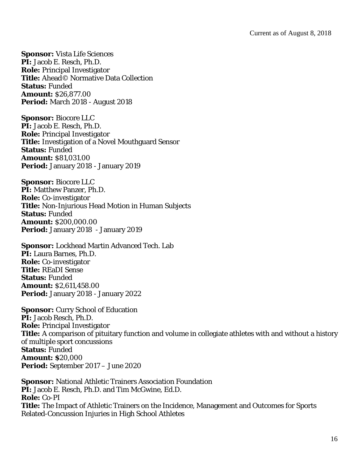**Sponsor:** Vista Life Sciences **PI:** Jacob E. Resch, Ph.D. **Role:** Principal Investigator **Title:** Ahead© Normative Data Collection **Status:** Funded **Amount:** \$26,877.00 **Period:** March 2018 - August 2018

**Sponsor:** Biocore LLC **PI:** Jacob E. Resch, Ph.D. **Role:** Principal Investigator **Title:** Investigation of a Novel Mouthguard Sensor **Status:** Funded **Amount:** \$81,031.00 **Period:** January 2018 - January 2019

**Sponsor:** Biocore LLC **PI:** Matthew Panzer, Ph.D. **Role:** Co-investigator **Title:** Non-Injurious Head Motion in Human Subjects Status: Funded **Amount:** \$200,000.00 **Period:** January 2018 - January 2019

**Sponsor:** Lockhead Martin Advanced Tech. Lab **PI:** Laura Barnes, Ph.D. **Role:** Co-investigator **Title:** REaDI Sense **Status:** Funded **Amount:** \$2,611,458.00 **Period:** January 2018 - January 2022

**Sponsor: Curry School of Education PI:** Jacob Resch, Ph.D. **Role:** Principal Investigator **Title:** A comparison of pituitary function and volume in collegiate athletes with and without a history of multiple sport concussions **Status:** Funded **Amount: \$**20,000 **Period:** September 2017 – June 2020

**Sponsor:** National Athletic Trainers Association Foundation **PI:** Jacob E. Resch, Ph.D. and Tim McGwine, Ed.D. **Role:** Co-PI **Title:** The Impact of Athletic Trainers on the Incidence, Management and Outcomes for Sports Related-Concussion Injuries in High School Athletes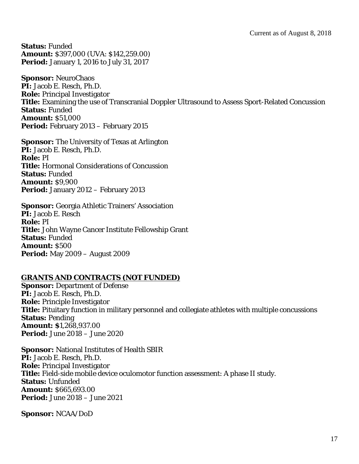**Status:** Funded **Amount:** \$397,000 (UVA: \$142,259.00) **Period:** January 1, 2016 to July 31, 2017

**Sponsor:** NeuroChaos **PI:** Jacob E. Resch, Ph.D. **Role:** Principal Investigator **Title:** Examining the use of Transcranial Doppler Ultrasound to Assess Sport-Related Concussion **Status:** Funded **Amount:** \$51,000 **Period:** February 2013 – February 2015

**Sponsor:** The University of Texas at Arlington **PI:** Jacob E. Resch, Ph.D. **Role:** PI **Title:** Hormonal Considerations of Concussion **Status:** Funded **Amount:** \$9,900 Period: January 2012 – February 2013

**Sponsor:** Georgia Athletic Trainers' Association **PI:** Jacob E. Resch **Role:** PI **Title:** John Wayne Cancer Institute Fellowship Grant **Status:** Funded **Amount:** \$500 **Period:** May 2009 – August 2009

# **GRANTS AND CONTRACTS (NOT FUNDED)**

**Sponsor: Department of Defense PI:** Jacob E. Resch, Ph.D. **Role:** Principle Investigator **Title:** Pituitary function in military personnel and collegiate athletes with multiple concussions **Status:** Pending **Amount: \$**1,268,937.00 **Period:** June 2018 – June 2020

**Sponsor:** National Institutes of Health SBIR **PI:** Jacob E. Resch, Ph.D. **Role:** Principal Investigator **Title:** Field-side mobile device oculomotor function assessment: A phase II study. **Status:** Unfunded **Amount:** \$665,693.00 **Period:** June 2018 – June 2021

**Sponsor:** NCAA/DoD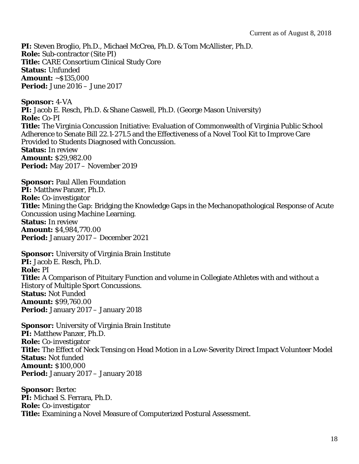**PI:** Steven Broglio, Ph.D., Michael McCrea, Ph.D. & Tom McAllister, Ph.D. **Role:** Sub-contractor (Site PI) **Title:** CARE Consortium Clinical Study Core **Status:** Unfunded **Amount:** ~\$135,000 **Period:** June 2016 – June 2017

**Sponsor:** 4-VA **PI:** Jacob E. Resch, Ph.D. & Shane Caswell, Ph.D. (George Mason University) **Role:** Co-PI **Title:** The Virginia Concussion Initiative: Evaluation of Commonwealth of Virginia Public School Adherence to Senate Bill 22.1-271.5 and the Effectiveness of a Novel Tool Kit to Improve Care Provided to Students Diagnosed with Concussion. **Status:** In review **Amount:** \$29,982.00 **Period:** May 2017 – November 2019

**Sponsor: Paul Allen Foundation PI:** Matthew Panzer, Ph.D. **Role:** Co-investigator **Title:** Mining the Gap: Bridging the Knowledge Gaps in the Mechanopathological Response of Acute Concussion using Machine Learning. **Status:** In review **Amount:** \$4,984,770.00 **Period:** January 2017 – December 2021

**Sponsor:** University of Virginia Brain Institute **PI:** Jacob E. Resch, Ph.D. **Role:** PI **Title:** A Comparison of Pituitary Function and volume in Collegiate Athletes with and without a History of Multiple Sport Concussions. **Status:** Not Funded **Amount:** \$99,760.00 **Period:** January 2017 – January 2018

**Sponsor:** University of Virginia Brain Institute **PI:** Matthew Panzer, Ph.D. **Role:** Co-investigator **Title:** The Effect of Neck Tensing on Head Motion in a Low-Severity Direct Impact Volunteer Model **Status:** Not funded **Amount:** \$100,000 **Period:** January 2017 – January 2018

**Sponsor:** Bertec **PI:** Michael S. Ferrara, Ph.D. **Role:** Co-investigator **Title:** Examining a Novel Measure of Computerized Postural Assessment.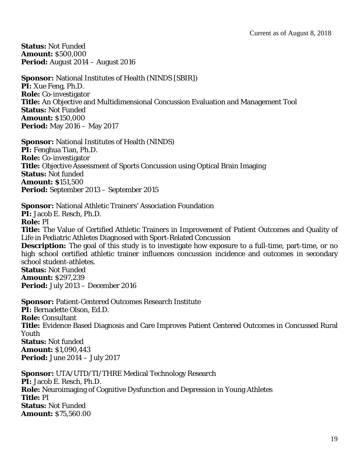**Status:** Not Funded **Amount:** \$500,000 **Period:** August 2014 – August 2016

**Sponsor:** National Institutes of Health (NINDS [SBIR]) **PI:** Xue Feng, Ph.D. **Role:** Co-investigator **Title:** An Objective and Multidimensional Concussion Evaluation and Management Tool **Status:** Not Funded **Amount:** \$150,000 **Period:** May 2016 – May 2017

**Sponsor:** National Institutes of Health (NINDS) **PI:** Fenghua Tian, Ph.D. **Role:** Co-investigator **Title:** Objective Assessment of Sports Concussion using Optical Brain Imaging **Status:** Not funded **Amount: \$**151,500 **Period:** September 2013 – September 2015

**Sponsor:** National Athletic Trainers' Association Foundation **PI:** Jacob E. Resch, Ph.D. **Role:** PI **Title:** The Value of Certified Athletic Trainers in Improvement of Patient Outcomes and Quality of Life in Pediatric Athletes Diagnosed with Sport-Related Concussion **Description:** The goal of this study is to investigate how exposure to a full-time, part-time, or no high school certified athletic trainer influences concussion incidence and outcomes in secondary school student-athletes. **Status:** Not Funded **Amount:** \$297,239 **Period:** July 2013 – December 2016

**Sponsor:** Patient-Centered Outcomes Research Institute **PI:** Bernadette Olson, Ed.D. **Role:** Consultant **Title:** Evidence Based Diagnosis and Care Improves Patient Centered Outcomes in Concussed Rural Youth **Status:** Not funded **Amount:** \$1,090,443 **Period:** June 2014 – July 2017

**Sponsor:** UTA/UTD/TI/THRE Medical Technology Research **PI:** Jacob E. Resch, Ph.D. **Role:** Neuroimaging of Cognitive Dysfunction and Depression in Young Athletes **Title:** PI **Status:** Not Funded **Amount:** \$75,560.00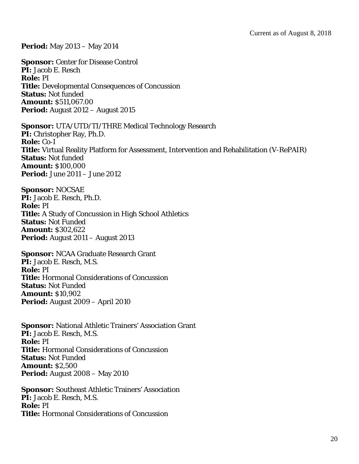**Period:** May 2013 – May 2014

**Sponsor: Center for Disease Control PI:** Jacob E. Resch **Role:** PI **Title:** Developmental Consequences of Concussion **Status:** Not funded **Amount:** \$511,067.00 **Period:** August 2012 – August 2015

**Sponsor:** UTA/UTD/TI/THRE Medical Technology Research **PI:** Christopher Ray, Ph.D. **Role:** Co-I **Title:** Virtual Reality Platform for Assessment, Intervention and Rehabilitation (V-RePAIR) **Status:** Not funded **Amount:** \$100,000 **Period:** June 2011 – June 2012

**Sponsor:** NOCSAE **PI:** Jacob E. Resch, Ph.D. **Role:** PI **Title:** A Study of Concussion in High School Athletics **Status:** Not Funded **Amount:** \$302,622 **Period:** August 2011 – August 2013

**Sponsor:** NCAA Graduate Research Grant **PI:** Jacob E. Resch, M.S. **Role:** PI **Title:** Hormonal Considerations of Concussion **Status:** Not Funded **Amount:** \$10,902 **Period:** August 2009 – April 2010

**Sponsor:** National Athletic Trainers' Association Grant **PI:** Jacob E. Resch, M.S. **Role:** PI **Title:** Hormonal Considerations of Concussion **Status:** Not Funded **Amount:** \$2,500 **Period:** August 2008 – May 2010

**Sponsor:** Southeast Athletic Trainers' Association **PI:** Jacob E. Resch, M.S. **Role:** PI **Title:** Hormonal Considerations of Concussion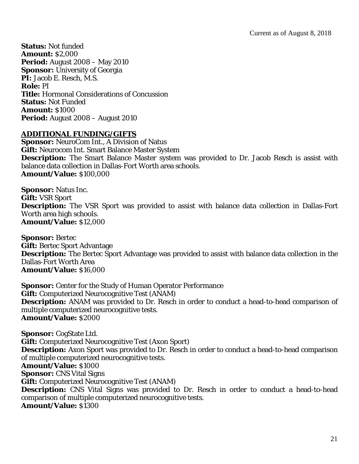**Status:** Not funded **Amount:** \$2,000 **Period:** August 2008 – May 2010 **Sponsor:** University of Georgia **PI:** Jacob E. Resch, M.S. **Role:** PI **Title:** Hormonal Considerations of Concussion **Status:** Not Funded **Amount:** \$1000 **Period:** August 2008 – August 2010

#### **ADDITIONAL FUNDING/GIFTS**

**Sponsor:** NeuroCom Int., A Division of Natus **Gift:** Neurocom Int. Smart Balance Master System **Description:** The Smart Balance Master system was provided to Dr. Jacob Resch is assist with balance data collection in Dallas-Fort Worth area schools. **Amount/Value:** \$100,000

**Sponsor:** Natus Inc. **Gift:** VSR Sport **Description:** The VSR Sport was provided to assist with balance data collection in Dallas-Fort Worth area high schools. **Amount/Value:** \$12,000

**Sponsor:** Bertec **Gift:** Bertec Sport Advantage **Description:** The Bertec Sport Advantage was provided to assist with balance data collection in the Dallas-Fort Worth Area **Amount/Value:** \$16,000

**Sponsor:** Center for the Study of Human Operator Performance **Gift:** Computerized Neurocognitive Test (ANAM) **Description:** ANAM was provided to Dr. Resch in order to conduct a head-to-head comparison of multiple computerized neurocognitive tests. **Amount/Value:** \$2000

**Sponsor:** CogState Ltd. **Gift:** Computerized Neurocognitive Test (Axon Sport) **Description:** Axon Sport was provided to Dr. Resch in order to conduct a head-to-head comparison of multiple computerized neurocognitive tests. **Amount/Value:** \$1000 **Sponsor: CNS Vital Signs Gift:** Computerized Neurocognitive Test (ANAM) **Description:** CNS Vital Signs was provided to Dr. Resch in order to conduct a head-to-head comparison of multiple computerized neurocognitive tests. **Amount/Value:** \$1300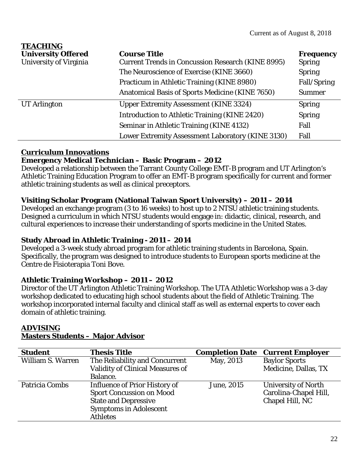| <b>TEACHING</b>           |                                                          |                  |
|---------------------------|----------------------------------------------------------|------------------|
| <b>University Offered</b> | <b>Course Title</b>                                      | <b>Frequency</b> |
| University of Virginia    | <b>Current Trends in Concussion Research (KINE 8995)</b> | <b>Spring</b>    |
|                           | The Neuroscience of Exercise (KINE 3660)                 | <b>Spring</b>    |
|                           | Practicum in Athletic Training (KINE 8980)               | Fall/Spring      |
|                           | <b>Anatomical Basis of Sports Medicine (KINE 7650)</b>   | <b>Summer</b>    |
| <b>UT</b> Arlington       | <b>Upper Extremity Assessment (KINE 3324)</b>            | <b>Spring</b>    |
|                           | Introduction to Athletic Training (KINE 2420)            | <b>Spring</b>    |
|                           | Seminar in Athletic Training (KINE 4132)                 | Fall             |
|                           | Lower Extremity Assessment Laboratory (KINE 3130)        | Fall             |

## **Curriculum Innovations**

## **Emergency Medical Technician – Basic Program – 2012**

Developed a relationship between the Tarrant County College EMT-B program and UT Arlington's Athletic Training Education Program to offer an EMT-B program specifically for current and former athletic training students as well as clinical preceptors.

# **Visiting Scholar Program (National Taiwan Sport University) – 2011 – 2014**

Developed an exchange program (3 to 16 weeks) to host up to 2 NTSU athletic training students. Designed a curriculum in which NTSU students would engage in: didactic, clinical, research, and cultural experiences to increase their understanding of sports medicine in the United States.

# **Study Abroad in Athletic Training - 2011 – 2014**

Developed a 3-week study abroad program for athletic training students in Barcelona, Spain. Specifically, the program was designed to introduce students to European sports medicine at the Centre de Fisioterapia Toni Bove.

# **Athletic Training Workshop – 2011 – 2012**

Director of the UT Arlington Athletic Training Workshop. The UTA Athletic Workshop was a 3-day workshop dedicated to educating high school students about the field of Athletic Training. The workshop incorporated internal faculty and clinical staff as well as external experts to cover each domain of athletic training.

| <b>Student</b>           | <b>Thesis Title</b>                                                                                                                                        | <b>Completion Date</b> | <b>Current Employer</b>                                                |
|--------------------------|------------------------------------------------------------------------------------------------------------------------------------------------------------|------------------------|------------------------------------------------------------------------|
| <b>William S. Warren</b> | The Reliability and Concurrent<br><b>Validity of Clinical Measures of</b>                                                                                  | May, 2013              | <b>Baylor Sports</b><br>Medicine, Dallas, TX                           |
|                          | Balance.                                                                                                                                                   |                        |                                                                        |
| Patricia Combs           | <b>Influence of Prior History of</b><br><b>Sport Concussion on Mood</b><br><b>State and Depressive</b><br><b>Symptoms in Adolescent</b><br><b>Athletes</b> | June, 2015             | <b>University of North</b><br>Carolina-Chapel Hill,<br>Chapel Hill, NC |

#### **ADVISING Masters Students – Major Advisor**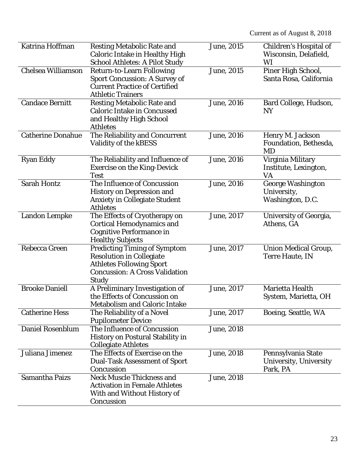Current as of August 8, 2018

| Katrina Hoffman           | <b>Resting Metabolic Rate and</b>       | June, 2015         |                               |
|---------------------------|-----------------------------------------|--------------------|-------------------------------|
|                           |                                         |                    | Children's Hospital of        |
|                           | <b>Caloric Intake in Healthy High</b>   |                    | Wisconsin, Delafield,         |
|                           | <b>School Athletes: A Pilot Study</b>   |                    | WI                            |
| <b>Chelsea Williamson</b> | <b>Return-to-Learn Following</b>        | June, 2015         | Piner High School,            |
|                           | <b>Sport Concussion: A Survey of</b>    |                    | Santa Rosa, California        |
|                           | <b>Current Practice of Certified</b>    |                    |                               |
|                           | <b>Athletic Trainers</b>                |                    |                               |
| <b>Candace Bernitt</b>    | <b>Resting Metabolic Rate and</b>       | June, 2016         | Bard College, Hudson,         |
|                           | <b>Caloric Intake in Concussed</b>      |                    | <b>NY</b>                     |
|                           | and Healthy High School                 |                    |                               |
|                           | <b>Athletes</b>                         |                    |                               |
| <b>Catherine Donahue</b>  | The Reliability and Concurrent          | June, 2016         | Henry M. Jackson              |
|                           | Validity of the kBESS                   |                    | Foundation, Bethesda,         |
|                           |                                         |                    | MD                            |
| <b>Ryan Eddy</b>          | The Reliability and Influence of        | <b>June</b> , 2016 | Virginia Military             |
|                           | <b>Exercise on the King-Devick</b>      |                    | Institute, Lexington,         |
|                           | <b>Test</b>                             |                    | VA                            |
| <b>Sarah Hontz</b>        | The Influence of Concussion             | June, 2016         | <b>George Washington</b>      |
|                           | <b>History on Depression and</b>        |                    | University,                   |
|                           | <b>Anxiety in Collegiate Student</b>    |                    | Washington, D.C.              |
|                           | <b>Athletes</b>                         |                    |                               |
| <b>Landon Lempke</b>      | The Effects of Cryotherapy on           | June, 2017         | University of Georgia,        |
|                           | <b>Cortical Hemodynamics and</b>        |                    | Athens, GA                    |
|                           | <b>Cognitive Performance in</b>         |                    |                               |
|                           | <b>Healthy Subjects</b>                 |                    |                               |
| Rebecca Green             | <b>Predicting Timing of Symptom</b>     | June, 2017         | <b>Union Medical Group,</b>   |
|                           | <b>Resolution in Collegiate</b>         |                    | <b>Terre Haute, IN</b>        |
|                           | <b>Athletes Following Sport</b>         |                    |                               |
|                           | <b>Concussion: A Cross Validation</b>   |                    |                               |
|                           |                                         |                    |                               |
| <b>Brooke Daniell</b>     | Study                                   |                    | Marietta Health               |
|                           | A Preliminary Investigation of          | June, 2017         |                               |
|                           | the Effects of Concussion on            |                    | System, Marietta, OH          |
|                           | <b>Metabolism and Caloric Intake</b>    |                    |                               |
| <b>Catherine Hess</b>     | The Reliability of a Novel              | June, 2017         | Boeing, Seattle, WA           |
|                           | <b>Pupilometer Device</b>               |                    |                               |
| <b>Daniel Rosenblum</b>   | The Influence of Concussion             | June, 2018         |                               |
|                           | <b>History on Postural Stability in</b> |                    |                               |
|                           | <b>Collegiate Athletes</b>              |                    |                               |
| Juliana Jimenez           | The Effects of Exercise on the          | June, 2018         | Pennsylvania State            |
|                           | <b>Dual-Task Assessment of Sport</b>    |                    | <b>University, University</b> |
|                           | Concussion                              |                    | Park, PA                      |
| <b>Samantha Paizs</b>     | <b>Neck Muscle Thickness and</b>        | June, 2018         |                               |
|                           | <b>Activation in Female Athletes</b>    |                    |                               |
|                           | With and Without History of             |                    |                               |
|                           | Concussion                              |                    |                               |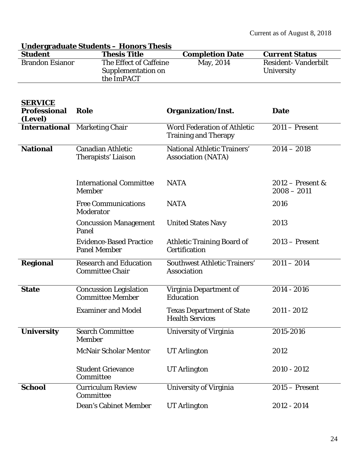|                                                  | <u><b>Undergraduate Students - Honors Thesis</b></u>       |                                                                   |                                          |
|--------------------------------------------------|------------------------------------------------------------|-------------------------------------------------------------------|------------------------------------------|
| <b>Student</b>                                   | <b>Thesis Title</b>                                        | <b>Completion Date</b>                                            | <b>Current Status</b>                    |
| <b>Brandon Esianor</b>                           | The Effect of Caffeine<br>Supplementation on<br>the ImPACT | May, 2014                                                         | <b>Resident-Vanderbilt</b><br>University |
| <b>SERVICE</b><br><b>Professional</b><br>(Level) | Role                                                       | <b>Organization/Inst.</b>                                         | <b>Date</b>                              |
|                                                  | <b>International</b> Marketing Chair                       | <b>Word Federation of Athletic</b><br><b>Training and Therapy</b> | $2011 -$ Present                         |
| <b>National</b>                                  | <b>Canadian Athletic</b><br>Therapists' Liaison            | National Athletic Trainers'<br><b>Association (NATA)</b>          | $2014 - 2018$                            |
|                                                  | <b>International Committee</b><br><b>Member</b>            | <b>NATA</b>                                                       | $2012$ – Present &<br>$2008 - 2011$      |
|                                                  | <b>Free Communications</b><br>Moderator                    | <b>NATA</b>                                                       | 2016                                     |
|                                                  | <b>Concussion Management</b><br>Panel                      | <b>United States Navy</b>                                         | 2013                                     |
|                                                  | <b>Evidence-Based Practice</b><br><b>Panel Member</b>      | <b>Athletic Training Board of</b><br><b>Certification</b>         | $2013 -$ Present                         |
| <b>Regional</b>                                  | <b>Research and Education</b><br><b>Committee Chair</b>    | <b>Southwest Athletic Trainers'</b><br><b>Association</b>         | $2011 - 2014$                            |
| <b>State</b>                                     | <b>Concussion Legislation</b><br><b>Committee Member</b>   | Virginia Department of<br><b>Education</b>                        | 2014 - 2016                              |
|                                                  | <b>Examiner and Model</b>                                  | <b>Texas Department of State</b><br><b>Health Services</b>        | 2011 - 2012                              |
| <b>University</b>                                | <b>Search Committee</b><br><b>Member</b>                   | <b>University of Virginia</b>                                     | 2015-2016                                |
|                                                  | <b>McNair Scholar Mentor</b>                               | <b>UT</b> Arlington                                               | 2012                                     |
|                                                  | <b>Student Grievance</b><br>Committee                      | <b>UT Arlington</b>                                               | 2010 - 2012                              |
| <b>School</b>                                    | <b>Curriculum Review</b><br>Committee                      | <b>University of Virginia</b>                                     | $2015 -$ Present                         |
|                                                  | <b>Dean's Cabinet Member</b>                               | <b>UT</b> Arlington                                               | 2012 - 2014                              |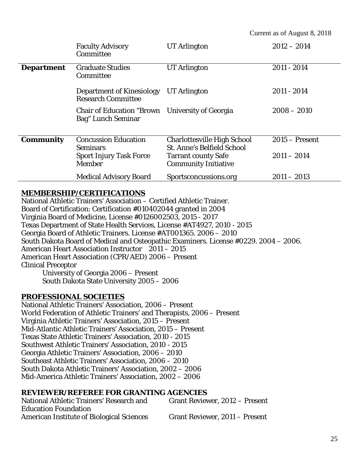|                   | <b>Faculty Advisory</b><br>Committee                                      | <b>UT</b> Arlington                                                                                   | $2012 - 2014$                     |
|-------------------|---------------------------------------------------------------------------|-------------------------------------------------------------------------------------------------------|-----------------------------------|
| <b>Department</b> | <b>Graduate Studies</b><br>Committee                                      | <b>UT Arlington</b>                                                                                   | $2011 - 2014$                     |
|                   | <b>Department of Kinesiology</b><br><b>Research Committee</b>             | <b>UT</b> Arlington                                                                                   | $2011 - 2014$                     |
|                   | <b>Chair of Education "Brown"</b><br>Bag" Lunch Seminar                   | <b>University of Georgia</b>                                                                          | $2008 - 2010$                     |
| <b>Community</b>  | <b>Concussion Education</b><br>Seminars<br><b>Sport Injury Task Force</b> | <b>Charlottesville High School</b><br><b>St. Anne's Belfield School</b><br><b>Tarrant county Safe</b> | $2015 -$ Present<br>$2011 - 2014$ |
|                   | <b>Member</b>                                                             | <b>Community Initiative</b>                                                                           |                                   |
|                   | <b>Medical Advisory Board</b>                                             | Sportsconcussions.org                                                                                 | $2011 - 2013$                     |

#### **MEMBERSHIP/CERTIFICATIONS**

National Athletic Trainers' Association – Certified Athletic Trainer. Board of Certification: Certification #010402044 granted in 2004 Virginia Board of Medicine, License #0126002503, 2015 - 2017 Texas Department of State Health Services, License #AT4927, 2010 - 2015 Georgia Board of Athletic Trainers. License #AT001365. 2006 – 2010 South Dakota Board of Medical and Osteopathic Examiners. License #0229. 2004 – 2006. American Heart Association Instructor 2011 – 2015 American Heart Association (CPR/AED) 2006 – Present Clinical Preceptor University of Georgia 2006 – Present

South Dakota State University 2005 – 2006

#### **PROFESSIONAL SOCIETIES**

National Athletic Trainers' Association, 2006 – Present World Federation of Athletic Trainers' and Therapists, 2006 – Present Virginia Athletic Trainers' Association, 2015 – Present Mid-Atlantic Athletic Trainers' Association, 2015 – Present Texas State Athletic Trainers' Association, 2010 - 2015 Southwest Athletic Trainers' Association, 2010 - 2015 Georgia Athletic Trainers' Association, 2006 – 2010 Southeast Athletic Trainers' Association, 2006 – 2010 South Dakota Athletic Trainers' Association, 2002 – 2006 Mid-America Athletic Trainers' Association, 2002 – 2006

#### **REVIEWER/REFEREE FOR GRANTING AGENCIES**

| National Athletic Trainers' Research and         | Grant Reviewer, 2012 – Present |
|--------------------------------------------------|--------------------------------|
| <b>Education Foundation</b>                      |                                |
| <b>American Institute of Biological Sciences</b> | Grant Reviewer, 2011 – Present |